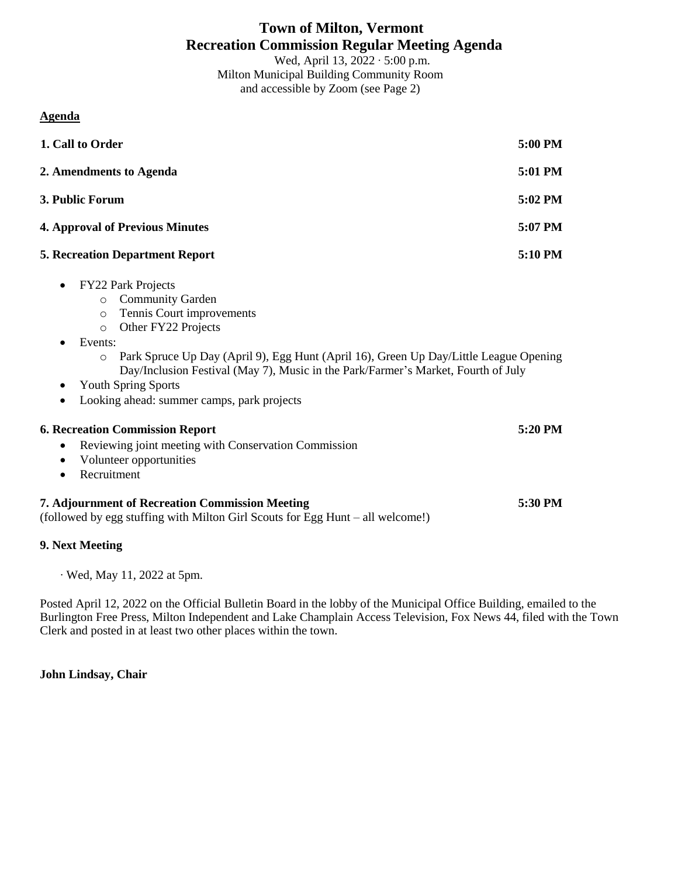# **Town of Milton, Vermont Recreation Commission Regular Meeting Agenda**

Wed, April 13, 2022 ∙ 5:00 p.m. Milton Municipal Building Community Room and accessible by Zoom (see Page 2)

### **Agenda**

| 1. Call to Order                                                                                                                                                                                                                                                                                                                                                                                                                            | 5:00 PM |
|---------------------------------------------------------------------------------------------------------------------------------------------------------------------------------------------------------------------------------------------------------------------------------------------------------------------------------------------------------------------------------------------------------------------------------------------|---------|
| 2. Amendments to Agenda                                                                                                                                                                                                                                                                                                                                                                                                                     | 5:01 PM |
| 3. Public Forum                                                                                                                                                                                                                                                                                                                                                                                                                             | 5:02 PM |
| <b>4. Approval of Previous Minutes</b>                                                                                                                                                                                                                                                                                                                                                                                                      | 5:07 PM |
| <b>5. Recreation Department Report</b>                                                                                                                                                                                                                                                                                                                                                                                                      | 5:10 PM |
| <b>FY22 Park Projects</b><br>$\bullet$<br><b>Community Garden</b><br>$\circ$<br>Tennis Court improvements<br>$\circ$<br>Other FY22 Projects<br>$\circ$<br>Events:<br>Park Spruce Up Day (April 9), Egg Hunt (April 16), Green Up Day/Little League Opening<br>$\circ$<br>Day/Inclusion Festival (May 7), Music in the Park/Farmer's Market, Fourth of July<br><b>Youth Spring Sports</b><br>٠<br>Looking ahead: summer camps, park projects |         |
| <b>6. Recreation Commission Report</b><br>Reviewing joint meeting with Conservation Commission<br>$\bullet$                                                                                                                                                                                                                                                                                                                                 | 5:20 PM |
| Volunteer opportunities<br>$\bullet$<br>Recruitment<br>$\bullet$                                                                                                                                                                                                                                                                                                                                                                            |         |
| 7. Adjournment of Recreation Commission Meeting<br>(followed by egg stuffing with Milton Girl Scouts for Egg Hunt - all welcome!)                                                                                                                                                                                                                                                                                                           | 5:30 PM |
| 9. Next Meeting                                                                                                                                                                                                                                                                                                                                                                                                                             |         |

∙ Wed, May 11, 2022 at 5pm.

Posted April 12, 2022 on the Official Bulletin Board in the lobby of the Municipal Office Building, emailed to the Burlington Free Press, Milton Independent and Lake Champlain Access Television, Fox News 44, filed with the Town Clerk and posted in at least two other places within the town.

### **John Lindsay, Chair**